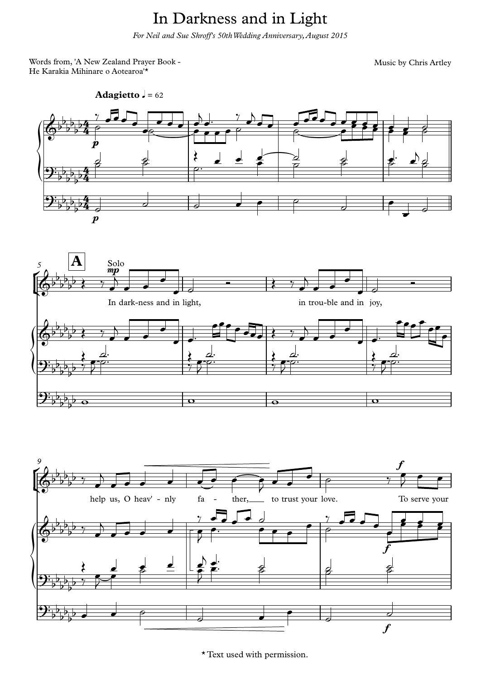## In Darkness and in Light

*For Neil and Sue Shroff's 50thWedding Anniversary,August 2015*

Words from, 'A New Zealand Prayer Book - He Karakia Mihinare o Aotearoa'\*

Music by Chris Artley





\* Text used with permission.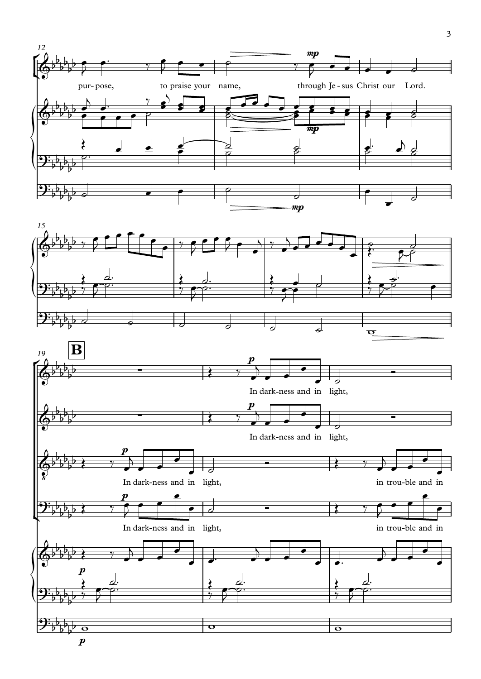

 $\boldsymbol{p}$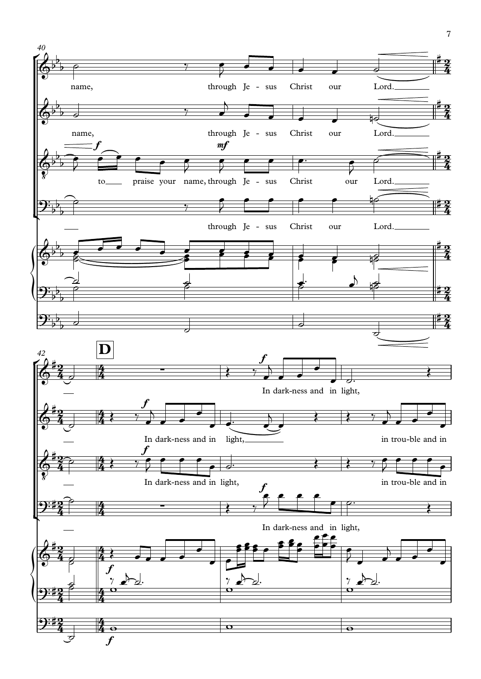